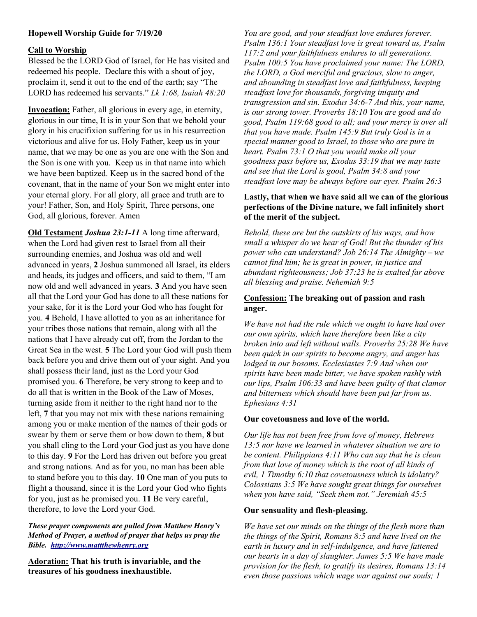# Hopewell Worship Guide for 7/19/20

### Call to Worship

Blessed be the LORD God of Israel, for He has visited and redeemed his people. Declare this with a shout of joy, proclaim it, send it out to the end of the earth; say "The LORD has redeemed his servants." Lk 1:68, Isaiah  $48:20$ 

Invocation: Father, all glorious in every age, in eternity, glorious in our time, It is in your Son that we behold your glory in his crucifixion suffering for us in his resurrection victorious and alive for us. Holy Father, keep us in your name, that we may be one as you are one with the Son and the Son is one with you. Keep us in that name into which we have been baptized. Keep us in the sacred bond of the covenant, that in the name of your Son we might enter into your eternal glory. For all glory, all grace and truth are to your! Father, Son, and Holy Spirit, Three persons, one God, all glorious, forever. Amen

Old Testament Joshua 23:1-11 A long time afterward, when the Lord had given rest to Israel from all their surrounding enemies, and Joshua was old and well advanced in years, 2 Joshua summoned all Israel, its elders and heads, its judges and officers, and said to them, "I am now old and well advanced in years. 3 And you have seen all that the Lord your God has done to all these nations for your sake, for it is the Lord your God who has fought for you. 4 Behold, I have allotted to you as an inheritance for your tribes those nations that remain, along with all the nations that I have already cut off, from the Jordan to the Great Sea in the west. 5 The Lord your God will push them back before you and drive them out of your sight. And you shall possess their land, just as the Lord your God promised you. 6 Therefore, be very strong to keep and to do all that is written in the Book of the Law of Moses, turning aside from it neither to the right hand nor to the left, 7 that you may not mix with these nations remaining among you or make mention of the names of their gods or swear by them or serve them or bow down to them, 8 but you shall cling to the Lord your God just as you have done to this day. 9 For the Lord has driven out before you great and strong nations. And as for you, no man has been able to stand before you to this day. 10 One man of you puts to flight a thousand, since it is the Lord your God who fights for you, just as he promised you. 11 Be very careful, therefore, to love the Lord your God.

These prayer components are pulled from Matthew Henry's Method of Prayer, a method of prayer that helps us pray the Bible. http://www.mattthewhenry.org

Adoration: That his truth is invariable, and the treasures of his goodness inexhaustible.

You are good, and your steadfast love endures forever. Psalm 136:1 Your steadfast love is great toward us, Psalm 117:2 and your faithfulness endures to all generations. Psalm 100:5 You have proclaimed your name: The LORD, the LORD, a God merciful and gracious, slow to anger, and abounding in steadfast love and faithfulness, keeping steadfast love for thousands, forgiving iniquity and transgression and sin. Exodus 34:6-7 And this, your name, is our strong tower. Proverbs 18:10 You are good and do good, Psalm 119:68 good to all; and your mercy is over all that you have made. Psalm 145:9 But truly God is in a special manner good to Israel, to those who are pure in heart. Psalm 73:1 O that you would make all your goodness pass before us, Exodus 33:19 that we may taste and see that the Lord is good, Psalm 34:8 and your steadfast love may be always before our eyes. Psalm 26:3

### Lastly, that when we have said all we can of the glorious perfections of the Divine nature, we fall infinitely short of the merit of the subject.

Behold, these are but the outskirts of his ways, and how small a whisper do we hear of God! But the thunder of his power who can understand? Job 26:14 The Almighty – we cannot find him; he is great in power, in justice and abundant righteousness; Job 37:23 he is exalted far above all blessing and praise. Nehemiah 9:5

## Confession: The breaking out of passion and rash anger.

We have not had the rule which we ought to have had over our own spirits, which have therefore been like a city broken into and left without walls. Proverbs 25:28 We have been quick in our spirits to become angry, and anger has lodged in our bosoms. Ecclesiastes 7:9 And when our spirits have been made bitter, we have spoken rashly with our lips, Psalm 106:33 and have been guilty of that clamor and bitterness which should have been put far from us. Ephesians 4:31

#### Our covetousness and love of the world.

Our life has not been free from love of money, Hebrews 13:5 nor have we learned in whatever situation we are to be content. Philippians 4:11 Who can say that he is clean from that love of money which is the root of all kinds of evil, 1 Timothy 6:10 that covetousness which is idolatry? Colossians 3:5 We have sought great things for ourselves when you have said, "Seek them not." Jeremiah 45:5

#### Our sensuality and flesh-pleasing.

We have set our minds on the things of the flesh more than the things of the Spirit, Romans 8:5 and have lived on the earth in luxury and in self-indulgence, and have fattened our hearts in a day of slaughter. James 5:5 We have made provision for the flesh, to gratify its desires, Romans 13:14 even those passions which wage war against our souls; 1